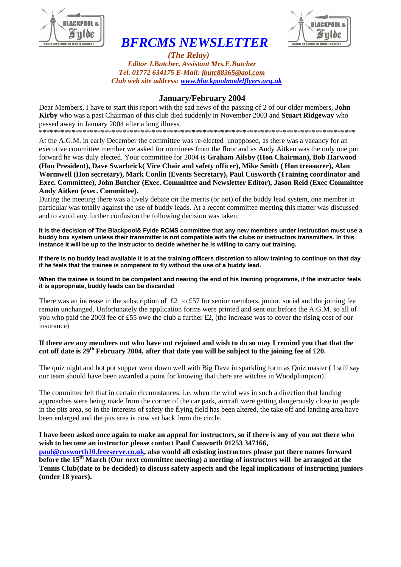

# *BFRCMS NEWSLETTER*



 *(The Relay) Editor J.Butcher, Assistant Mrs.E.Butcher Tel. 01772 634175 E-Mail: jbutc88365@aol.com Club web site address: www.blackpoolmodelflyers.org.uk*

### **January/February 2004**

Dear Members, I have to start this report with the sad news of the passing of 2 of our older members, **John Kirby** who was a past Chairman of this club died suddenly in November 2003 and **Stuart Ridgeway** who passed away in January 2004 after a long illness.

\*\*\*\*\*\*\*\*\*\*\*\*\*\*\*\*\*\*\*\*\*\*\*\*\*\*\*\*\*\*\*\*\*\*\*\*\*\*\*\*\*\*\*\*\*\*\*\*\*\*\*\*\*\*\*\*\*\*\*\*\*\*\*\*\*\*\*\*\*\*\*\*\*\*\*\*\*\*\*\*\*\*\*\*\*\*\*

At the A.G.M. in early December the committee was re-elected unopposed, as there was a vacancy for an executive committee member we asked for nominees from the floor and as Andy Aitken was the only one put forward he was duly elected. Your committee for 2004 is **Graham Ailsby (Hon Chairman), Bob Harwood (Hon President), Dave Swarbrick( Vice Chair and safety officer), Mike Smith ( Hon treasurer), Alan Wormwell (Hon secretary), Mark Conlin (Events Secretary), Paul Cusworth (Training coordinator and Exec. Committee), John Butcher (Exec. Committee and Newsletter Editor), Jason Reid (Exec Committee Andy Aitken (exec. Committee).**

During the meeting there was a lively debate on the merits (or not) of the buddy lead system, one member in particular was totally against the use of buddy leads. At a recent committee meeting this matter was discussed and to avoid any further confusion the following decision was taken:

**It is the decision of The Blackpool& Fylde RCMS committee that any new members under instruction must use a buddy box system unless their transmitter is not compatible with the clubs or instructors transmitters. In this instance it will be up to the instructor to decide whether he is willing to carry out training.**

**If there is no buddy lead available it is at the training officers discretion to allow training to continue on that day if he feels that the trainee is competent to fly without the use of a buddy lead.**

**When the trainee is found to be competent and nearing the end of his training programme, if the instructor feels it is appropriate, buddy leads can be discarded**

There was an increase in the subscription of  $£2$  to  $£57$  for senior members, junior, social and the joining fee remain unchanged. Unfortunately the application forms were printed and sent out before the A.G.M. so all of you who paid the 2003 fee of £55 owe the club a further £2, (the increase was to cover the rising cost of our insurance)

#### **If there are any members out who have not rejoined and wish to do so may I remind you that that the cut off date is 29th February 2004, after that date you will be subject to the joining fee of £20.**

The quiz night and hot pot supper went down well with Big Dave in sparkling form as Quiz master ( I still say our team should have been awarded a point for knowing that there are witches in Woodplumpton).

The committee felt that in certain circumstances: i.e. when the wind was in such a direction that landing approaches were being made from the corner of the car park, aircraft were getting dangerously close to people in the pits area, so in the interests of safety the flying field has been altered, the take off and landing area have been enlarged and the pits area is now set back from the circle.

## **I have been asked once again to make an appeal for instructors, so if there is any of you out there who wish to become an instructor please contact Paul Cusworth 01253 347166,**

**paul@cusworth10.freeserve.co.uk, also would all existing instructors please put there names forward before the 15th March (Our next committee meeting) a meeting of instructors will be arranged at the Tennis Club(date to be decided) to discuss safety aspects and the legal implications of instructing juniors (under 18 years).**